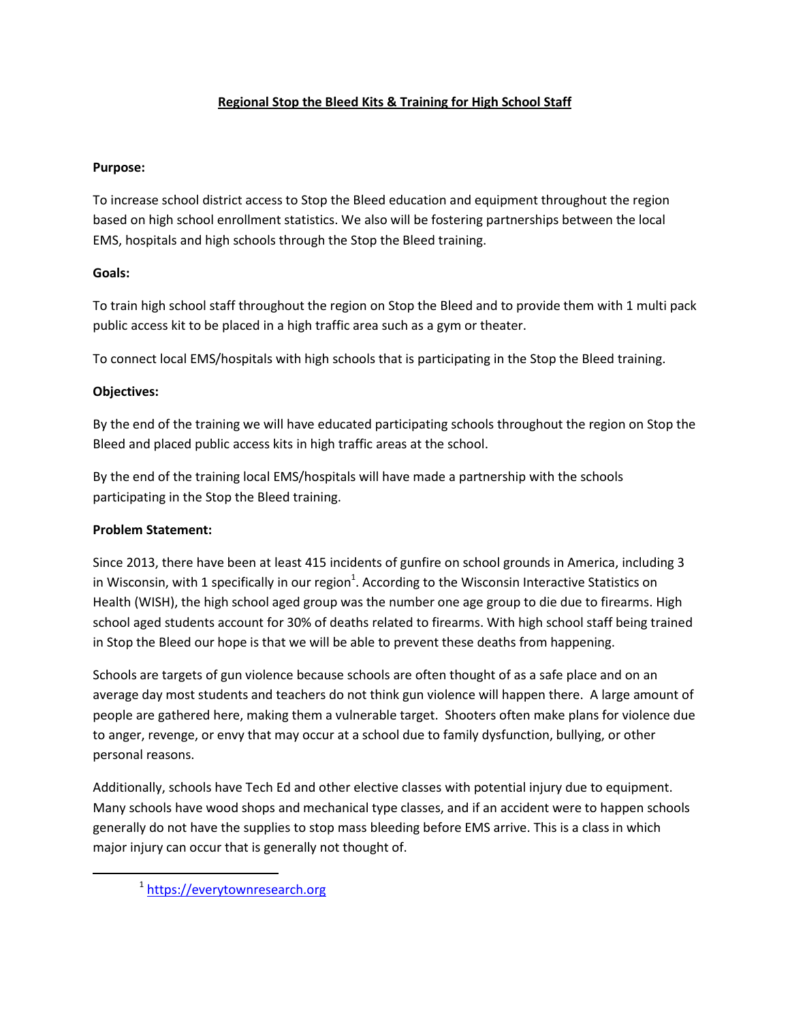# **Regional Stop the Bleed Kits & Training for High School Staff**

### **Purpose:**

To increase school district access to Stop the Bleed education and equipment throughout the region based on high school enrollment statistics. We also will be fostering partnerships between the local EMS, hospitals and high schools through the Stop the Bleed training.

## **Goals:**

To train high school staff throughout the region on Stop the Bleed and to provide them with 1 multi pack public access kit to be placed in a high traffic area such as a gym or theater.

To connect local EMS/hospitals with high schools that is participating in the Stop the Bleed training.

## **Objectives:**

By the end of the training we will have educated participating schools throughout the region on Stop the Bleed and placed public access kits in high traffic areas at the school.

By the end of the training local EMS/hospitals will have made a partnership with the schools participating in the Stop the Bleed training.

## **Problem Statement:**

 $\overline{\phantom{a}}$ 

Since 2013, there have been at least 415 incidents of gunfire on school grounds in America, including 3 in Wisconsin, with 1 specifically in our region<sup>1</sup>. According to the Wisconsin Interactive Statistics on Health (WISH), the high school aged group was the number one age group to die due to firearms. High school aged students account for 30% of deaths related to firearms. With high school staff being trained in Stop the Bleed our hope is that we will be able to prevent these deaths from happening.

Schools are targets of gun violence because schools are often thought of as a safe place and on an average day most students and teachers do not think gun violence will happen there. A large amount of people are gathered here, making them a vulnerable target. Shooters often make plans for violence due to anger, revenge, or envy that may occur at a school due to family dysfunction, bullying, or other personal reasons.

Additionally, schools have Tech Ed and other elective classes with potential injury due to equipment. Many schools have wood shops and mechanical type classes, and if an accident were to happen schools generally do not have the supplies to stop mass bleeding before EMS arrive. This is a class in which major injury can occur that is generally not thought of.

<sup>&</sup>lt;sup>1</sup> [https://everytownresearch.org](https://everytownresearch.org/)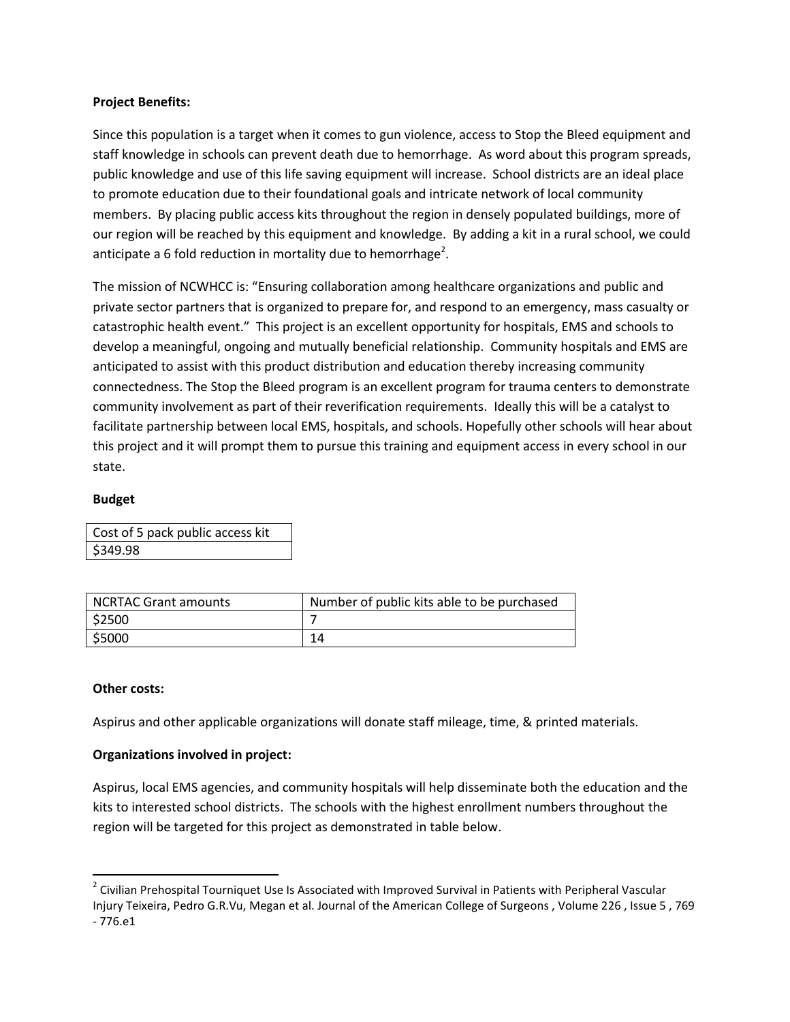#### **Project Benefits:**

Since this population is a target when it comes to gun violence, access to Stop the Bleed equipment and staff knowledge in schools can prevent death due to hemorrhage. As word about this program spreads, public knowledge and use of this life saving equipment will increase. School districts are an ideal place to promote education due to their foundational goals and intricate network of local community members. By placing public access kits throughout the region in densely populated buildings, more of our region will be reached by this equipment and knowledge. By adding a kit in a rural school, we could anticipate a 6 fold reduction in mortality due to hemorrhage<sup>2</sup>.

The mission of NCWHCC is: "Ensuring collaboration among healthcare organizations and public and private sector partners that is organized to prepare for, and respond to an emergency, mass casualty or catastrophic health event." This project is an excellent opportunity for hospitals, EMS and schools to develop a meaningful, ongoing and mutually beneficial relationship. Community hospitals and EMS are anticipated to assist with this product distribution and education thereby increasing community connectedness. The Stop the Bleed program is an excellent program for trauma centers to demonstrate community involvement as part of their reverification requirements. Ideally this will be a catalyst to facilitate partnership between local EMS, hospitals, and schools. Hopefully other schools will hear about this project and it will prompt them to pursue this training and equipment access in every school in our state.

#### **Budget**

Cost of 5 pack public access kit \$349.98

| <b>NCRTAC Grant amounts</b> | Number of public kits able to be purchased |
|-----------------------------|--------------------------------------------|
| \$2500                      |                                            |
| \$5000                      |                                            |

#### **Other costs:**

 $\overline{\phantom{a}}$ 

Aspirus and other applicable organizations will donate staff mileage, time, & printed materials.

#### **Organizations involved in project:**

Aspirus, local EMS agencies, and community hospitals will help disseminate both the education and the kits to interested school districts. The schools with the highest enrollment numbers throughout the region will be targeted for this project as demonstrated in table below.

 $2$  Civilian Prehospital Tourniquet Use Is Associated with Improved Survival in Patients with Peripheral Vascular Injury Teixeira, Pedro G.R.Vu, Megan et al. Journal of the American College of Surgeons , Volume 226 , Issue 5 , 769 - 776.e1